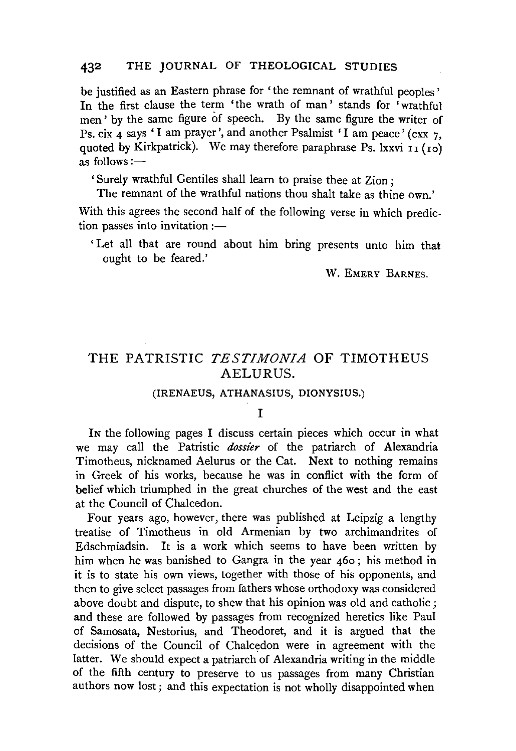### 432 THE JOURNAL OF THEOLOGICAL STUDIES

be justified as an Eastern phrase for 'the remnant of wrathful peoples' In the first clause the term 'the wrath of man' stands for 'wrathful men' by the same figure of speech. By the same figure the writer of Ps. cix  $\angle$  says 'I am prayer', and another Psalmist 'I am peace' (cxx 7, quoted by Kirkpatrick). We may therefore paraphrase Ps. lxxvi  $\overrightarrow{11}$  ( $\overrightarrow{10}$ ) as follows  $:=$ 

'Surely wrathful Gentiles shall learn to praise thee at Zion;

The remnant of the wrathful nations thou shalt take as thine own.'

With this agrees the second half of the following verse in which prediction passes into invitation  $:$   $-$ 

'Let all that are round about him bring presents unto him that ought to be feared.'

w. EMERY BARNES.

# THE PATRISTIC *TESTIMONIA* OF TIMOTHEUS AELURUS.

#### (IRENAEUS, ATHANASIUS, DIONYSIUS.)

#### I

IN the following pages I discuss certain pieces which occur in what we may call the Patristic *dossier* of the patriarch of Alexandria Timotheus, nicknamed Aelurus or the Cat. Next to nothing remains in Greek of his works, because he was in conflict with the form of belief which triumphed in the great churches of the west and the east at the Council of Chalcedon.

Four years ago, however, there was published at Leipzig a lengthy treatise of Timotheus in old Armenian by two archimandrites of Edschmiadsin. It is a work which seems to have been written by him when he was banished to Gangra in the year 46o ; his method in it is to state his own views, together with those of his opponents, and then to give select passages from fathers whose orthodoxy was considered above doubt and dispute, to shew that his opinion was old and catholic; and these are followed by passages from recognized heretics like Paul of Samosata, Nestorius, and Theodoret, and it is argued that the decisions of the Council of Chalcedon were in agreement with the latter. We should expect a patriarch of Alexandria writing in the middle of the fifth century to preserve to us passages from many Christian authors now lost; and this expectation is not wholly disappointed when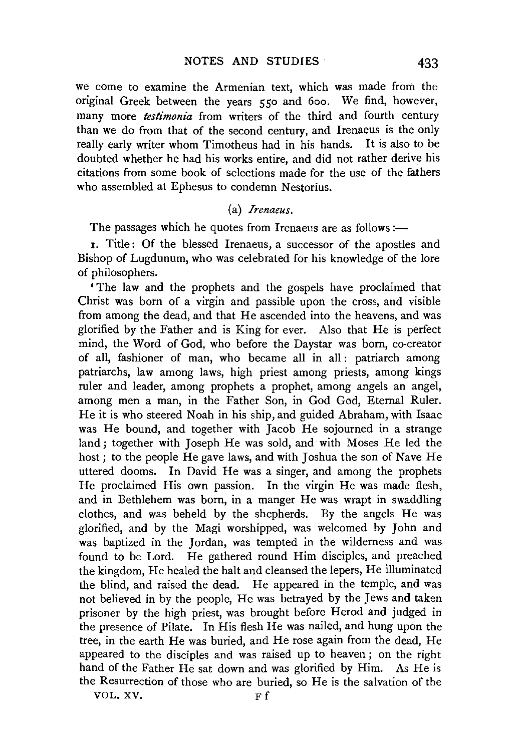we come to examine the Armenian text, which was made from the original Greek between the years 550 and 6oo. We find, however, many more *testimonia* from writers of the third and fourth century than we do from that of the second century, and Irenaeus is the only really early writer whom Timotheus had in his hands. It is also to be doubted whether he had his works entire, and did not rather derive his citations from some book of selections made for the use of the fathers who assembled at Ephesus to condemn Nestorius.

## (a) *Irenaeus.*

The passages which he quotes from Irenaeus are as follows :—

I. Title: Of the blessed Irenaeus, a successor of the apostles and Bishop of Lugdunum, who was celebrated for his knowledge of the lore of philosophers.

'The law and the prophets and the gospels have proclaimed that Christ was born of a virgin and passible upon the cross, and visible from among the dead, and that He ascended into the heavens, and was glorified by the Father and is King for ever. Also that He is perfect mind, the Word of God, who before the Daystar was born, eo-creator of all, fashioner of man, who became all in all : patriarch among patriarchs, law among laws, high priest among priests, among kings ruler and leader, among prophets a prophet, among angels an angel, among men a man, in the Father Son, in God God, Eternal Ruler. He it is who steered Noah in his ship, and guided Abraham, with Isaac was He bound, and together with Jacob He sojourned in a strange land ; together with Joseph He was sold, and with Moses He led the host; to the people He gave laws, and with Joshua the son of Nave He uttered dooms. In David He was a singer, and among the prophets He proclaimed His own passion. In the virgin He was made flesh, and in Bethlehem was born, in a manger He was wrapt in swaddling clothes, and was beheld by the shepherds. By the angels He was glorified, and by the Magi worshipped, was welcomed by John and was baptized in the Jordan, was tempted in the wilderness and was found to be Lord. He gathered round Him disciples, and preached the kingdom, He healed the halt and cleansed the lepers, He illuminated the blind, and raised the dead. He appeared in the temple, and was not believed in by the people, He was betrayed by the Jews and taken prisoner by the high priest, was brought before Herod and judged in the presence of Pilate. In His flesh He was nailed, and hung upon the tree, in the earth He was buried, and He rose again from the dead, He appeared to the disciples and was raised up to heaven; on the right hand of the Father He sat down and was glorified by Him. As He is the Resurrection of those who are buried, so He is the salvation of the

VOL. XV. Ff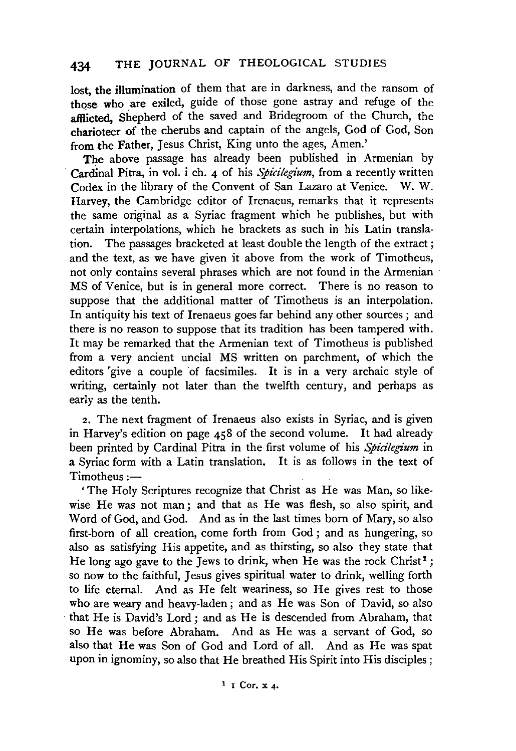# 434 THE JOURNAL OF THEOLOGICAL STUDIES

lost, the illumination of them that are in darkness, and the ransom of those who are exiled, guide of those gone astray and refuge of the afflicted. Shepherd of the saved and Bridegroom of the Church, the charioteer of the cherubs and captain of the angels, God of God, Son from the Father, Jesus Christ, King unto the ages, Amen.'

The above passage has already been published in Armenian by Cardinal Pitra, in vol. i eh. 4 of his *Spicilegium,* from a recently written Codex in the library of the Convent of San Lazaro at Venice. W. W. Harvey, the Cambridge editor of Irenaeus, remarks that it represents the same original as a Syriac fragment which he publishes, but with certain interpolations, which he brackets as such in his Latin transla-The passages bracketed at least double the length of the extract; and the text, as we have given it above from the work of Timotheus, not only contains several phrases which are not found in the Armenian MS of Venice, but is in general more correct. There is no reason to suppose that the additional matter of Timotheus is an interpolation. In antiquity his text of Irenaeus goes far behind any other sources ; and there is no reason to suppose that its tradition has been tampered with. It may be remarked that the Armenian text of Timotheus is published from a very ancient uncia! MS written on parchment, of which the editors 'give a couple of facsimiles. It is in a very archaic style of writing, certainly not later than the twelfth century, and perhaps as early as the tenth.

*z.* The next fragment of Irenaeus also exists in Syriac, and is given in Harvey's edition on page 458 of the second volume. It had already been printed by Cardinal Pitra in the first volume of his *Spicilegium* in a Syriac form with a Latin translation. It is as follows in the text of  $Timotheus :=$ 

'The Holy Scriptures recognize that Christ as He was Man, so likewise He was not man ; and that as He was flesh, so also spirit, and Word of God, and God. And as in the last times born of Mary, so also first-born of all creation, come forth from God ; and as hungering, so also as satisfying His appetite, and as thirsting, so also they state that He long ago gave to the Jews to drink, when He was the rock Christ<sup>1</sup>; so now to the faithful, Jesus gives spiritual water to drink, welling forth to life eternal. And as He felt weariness, so He gives rest to those who are weary and heavy-laden; and as He was Son of David, so also that He is David's Lord; and as He is descended from Abraham, that so He was before Abraham. And as He was a servant of God, so also that He was Son of God and Lord of all. And as He was spat upon in ignominy, so also that He breathed His Spirit into His disciples ;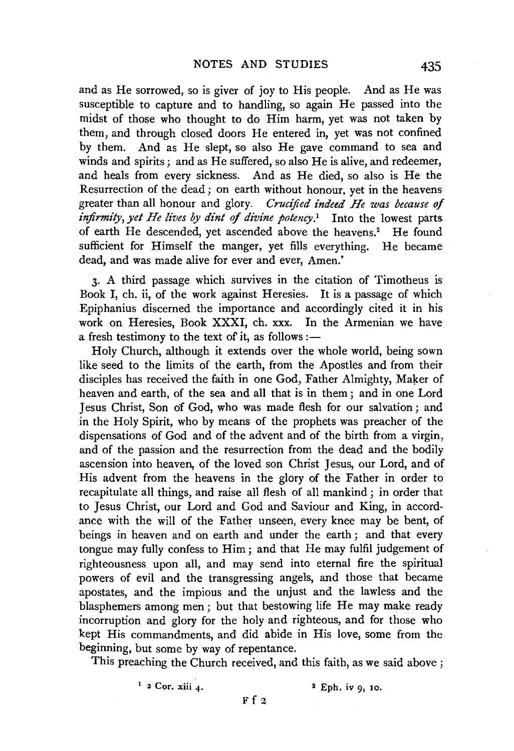and as He sorrowed, so is giver of joy to His people. And as He was susceptible to capture and to handling, so again He passed into the midst of those who thought to do Him harm, yet was not taken by them, and through closed doors He entered in, yet was not confined by them. And as He slept, se also He gave command to sea and winds and spirits ; and as He suffered, so also He is alive, and redeemer, and heals from every sickness. And as He died, so also is He the Resurrection of the dead; on earth without honour, yet in the heavens greater than all honour and glory. *Crucified indeed He zoas because of infirmity, yet He lives by dint of divine potency.•* Into the lowest parts of earth He descended, yet ascended above the heavens.<sup>2</sup> He found sufficient for Himself the manger, yet fills everything. He became dead, and was made alive for ever and ever, Amen.'

3· A third passage which survives in the citation of Timotheus is Book I, eh. ii, of the work against Heresies. It is a passage of which Epiphanius discerned the importance and accordingly cited it in his work on Heresies, Book XXXI, eh. xxx. In the Armenian we have a fresh testimony to the text of it, as follows :—

Holy Church, although it extends over the whole world, being sown like seed to the limits of the earth, from the Apostles and from their disciples has received the faith in one God, Father Almighty, Maker of heaven and earth, of the sea and all that is in them; and in one Lord Jesus Christ, Son of God, who was made flesh for our salvation ; and in the Holy Spirit, who by means of the prophets was preacher of the dispensations of God and of the advent and of the birth from a virgin, and of the passion and the resurrection from the dead and the bodily ascension into heaven, of the loved son Christ Jesus, our Lord, and of His advent from the heavens in the glory of the Father in order to recapitulate all things, and raise all flesh of all mankind ; in order that to Jesus Christ, our Lord and God and Saviour and King, in accordance with the will of the Father unseen, every knee may be bent, of beings in heaven and on earth and under the earth ; and that every tongue may fully confess to Him; and that He may fulfil judgement of righteousness upon all, and may send into eternal fire the spiritual powers of evil and the transgressing angels, and those that became apostates, and the impious and the unjust and the lawless and the blasphemers among men; but that bestowing life He may make ready incorruption and glory for the holy and righteous, and for those who kept His commandments, and did abide in His love, some from the beginning, but some by way of repentance.

This preaching the Church received, and this faith, as we said above ;

 $1 \t2$  Cor. xiii 4.  $2 \tEph.$  iv 9, 10.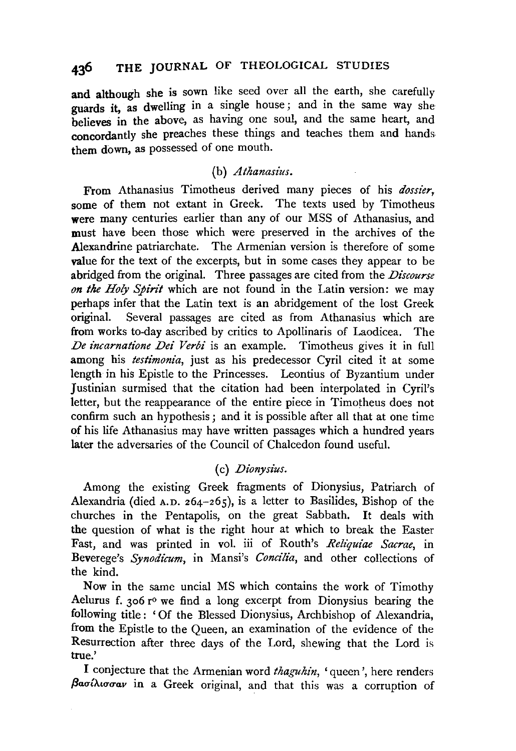and although she is sown like seed over all the earth, she carefully guards it, as dwelling in a single house; and in the same way she believes in the above, as having one soul, and the same heart, and concordantly she preaches these things and teaches them and hands them down, as possessed of one mouth.

## (b) *Athanasius.*

From Athanasius Timotheus derived many pieces of his *dossier,*  some of them not extant in Greek. The texts used by Timotheus were many centuries earlier than any of our MSS of Athanasius, and must have been those which were preserved in the archives of the Alexandrine patriarchate. The Armenian version is therefore of some value for the text of the excerpts, but in some cases they appear to be abridged from the original. Three passages are cited from the *Discourse on the Holy Spin't* which are not found in the Latin version: we may perhaps infer that the Latin text is an abridgement of the lost Greek<br>original. Several passages are cited as from Athanasius which are Several passages are cited as from Athanasius which are from works to-day ascribed by critics to Apollinaris of Laodicea. The *De incarnatione Dei Verbi* is an example. Timotheus gives it in full among his *testimonia*, just as his predecessor Cyril cited it at some length in his Epistle to the Princesses. Leontius of Byzantium under Justinian surmised that the citation had been interpolated in Cyril's letter, but the reappearance of the entire piece in Timotheus does not confirm such an hypothesis ; and it is possible after all that at one time of his life Athanasius may have written passages which a hundred years later the adversaries of the Council of Chalcedon found useful.

## (c) *Dionysius.*

Among the existing Greek fragments of Dionysius, Patriarch of Alexandria (died A.D. 264-265), is a letter to Basilides, Bishop of the churches in the Pentapolis, on the great Sabbath. It deals with the question of what is the right hour at which to break the Easter Fast, and was printed in vol. iii of Routh's *Reh'quiae Sacrae,* in Beverege's *Synodicum,* in Mansi's *Concilia,* and other collections of the kind.

Now in the same uncial MS which contains the work of Timothy Aelurus f. 306 r° we find a long excerpt from Dionysius bearing the following title : 'Of the Blessed Dionysius, Archbishop of Alexandria, from the Epistle to the Queen, an examination of the evidence of the Resurrection after three days of the Lord, shewing that the Lord is true.'

I conjecture that the Armenian word *thaguhin,* 'queen', here renders βασίλισσαν in a Greek original, and that this was a corruption of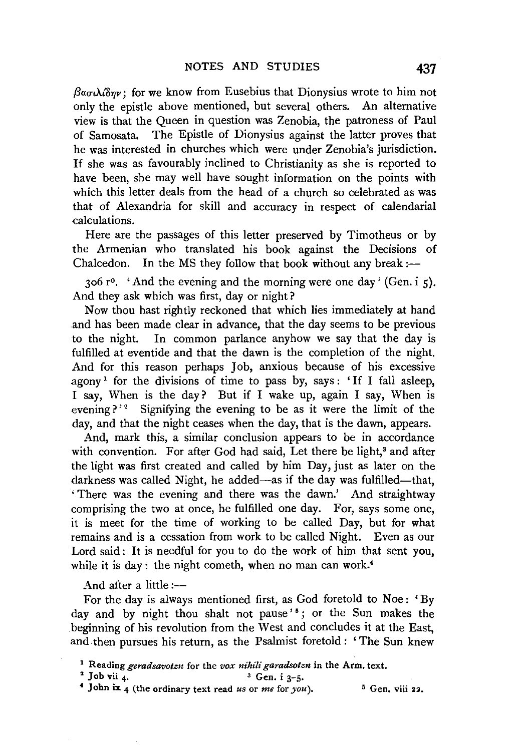$\beta$ a $\sigma \lambda \hat{\delta}$ *nv*; for we know from Eusebius that Dionysius wrote to him not only the epistle above mentioned, but several others. An alternative view is that the Queen in question was Zenobia, the patroness of Paul of Samosata. The Epistle of Dionysius against the latter proves that he was interested in churches which were under Zenobia's jurisdiction. If she was as favourably inclined to Christianity as she is reported to have been, she may well have sought information on the points with which this letter deals from the head of a church so celebrated as was that of Alexandria for skill and accuracy in respect of calendarial calculations.

Here are the passages of this letter preserved by Timotheus or by the Armenian who translated his book against the Decisions of Chalcedon. In the MS they follow that book without any break :--

306  $r^0$ . 'And the evening and the morning were one day' (Gen. i 5). And they ask which was first, day or night?

Now thou hast rightly reckoned that which lies immediately at hand and has been made clear in advance, that the day seems to be previous to the night. In common parlance anyhow we say that the day is fulfilled at eventide and that the dawn is the completion of the night. And for this reason perhaps Job, anxious because of his excessive agony<sup>1</sup> for the divisions of time to pass by, says: 'If I fall asleep, I say, When is the day? But if I wake up, again I say, When is evening?'<sup>2</sup> Signifying the evening to be as it were the limit of the day, and that the night ceases when the day, that is the dawn, appears.

And, mark this, a similar conclusion appears to be in accordance with convention. For after God had said, Let there be light,<sup>3</sup> and after the light was first created and called by him Day, just as later on the darkness was called Night, he added—as if the day was fulfilled—that, 'There was the evening and there was the dawn.' And straightway comprising the two at once, he fulfilled one day. For, says some one, it is meet for the time of working to be called Day, but for what remains and is a cessation from work to be called Night. Even as our Lord said: It is needful for you to do the work of him that sent you, while it is day : the night cometh, when no man can work.<sup>4</sup>

And after a little :-

For the day is always mentioned first, as God foretold to Noe: 'By day and by night thou shalt not pause'<sup>5</sup>; or the Sun makes the beginning of his revolution from the West and concludes it at the East, and then pursues his return, as the Psalmist foretold : 'The Sun knew

<sup>2</sup> Job vii 4.  $\frac{3}{4}$  Gen. i 3-5.<br>
<sup>4</sup> John ix 4 (the ordinary text read *us* or *me* for *you*). <sup>5</sup> Gen. viii 22.

<sup>1</sup> Reading *geradsavotzn* for the *vox nihili garadsotzn* in the Arm. text.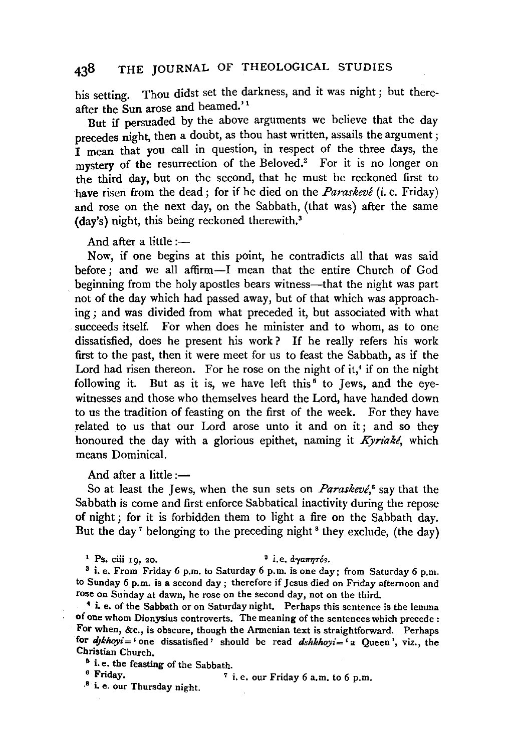his setting. Thou didst set the darkness, and it was night ; but thereafter the Sun arose and beamed.''

But if persuaded by the above arguments we believe that the day precedes night, then a doubt, as thou hast written, assails the argument : I mean that you call in question, in respect of the three days, the mystery of the resurrection of the Beloved.<sup>2</sup> For it is no longer on the third day, but on the second, that he must be reckoned first to have risen from the dead; for if he died on the *Paraskeve* (i.e. Friday) and rose on the next day, on the Sabbath, (that was) after the same (day's) night, this being reckoned therewith.3

And after a little: $-$ 

Now, if one begins at this point, he contradicts all that was said before; and we all affirm-I mean that the entire Church of God beginning from the holy apostles bears witness—that the night was part not of the day which had passed away, but of that which was approaching ; and was divided from what preceded it, but associated with what succeeds itself. For when does he minister and to whom, as to one dissatisfied, does he present his work ? If he really refers his work first to the past, then it were meet for us to feast the Sabbath, as if the Lord had risen thereon. For he rose on the night of it,<sup>4</sup> if on the night following it. But as it is, we have left this<sup> $5$ </sup> to Jews, and the eyewitnesses and those who themselves heard the Lord, have handed down to us the tradition of feasting on the first of the week. For they have related to us that our Lord arose unto it and on it ; and so they honoured the day with a glorious epithet, naming it *Kyriaké*, which means Dominica!.

And after a little :-

So at least the Jews, when the sun sets on *Paraskevé*,<sup>6</sup> say that the Sabbath is come and first enforce Sabbatical inactivity during the repose of night; for it is forbidden them to light a fire on the Sabbath day. But the day<sup>7</sup> belonging to the preceding night<sup>8</sup> they exclude, (the day)

<sup>1</sup> Ps. ciii 10, 20.  $^{2}$  i.e.  $\frac{d}{d\pi\eta\tau\delta s}$ .

3 i.e. From Friday 6 p.m. to Saturday 6 p.m. is one day; from Saturday 6 p.m. to Sunday 6 p.m. is a second day; therefore if Jesus died on Friday afternoon and rose on Sunday at dawn, he rose on the second day, not on the third.

• i. e. of the Sabbath or on Saturday night. Perhaps this sentence is the lemma of one whom Dionysius controverts. The meaning of the sentences which precede : For when, &c., is obscure, though the Armenian text is straightforward. Perhaps for *dykhoyi* = ' one dissatisfied ' should be read *dshkhoyi* = ' a Queen ', viz., the Christian Church.

<sup>5</sup> i. e. the feasting of the Sabbath.<br>
<sup>6</sup> Friday.

 $7$  i.e. our Friday 6 a.m. to 6 p.m.

8 ·1. e. our Thursday night.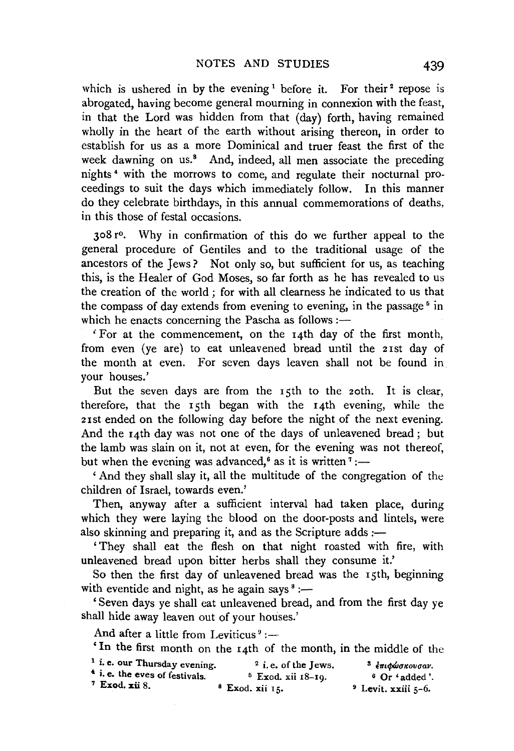which is ushered in by the evening  $1$  before it. For their  $2$  repose is abrogated, having become general mourning in connexion with the feast, in that the Lord was hidden from that (day) forth, having remained wholly in the heart of the earth without arising thereon, in order to establish for us as a more Dominica! and truer feast the first of the week dawning on us.<sup>3</sup> And, indeed, all men associate the preceding nights • with the morrows to come, and regulate their nocturnal proceedings to suit the days which immediately follow. In this manner do they celebrate birthdays, in this annual commemorations of deaths, in this those of festal occasions.

308 ro. Why in confirmation of this do we further appeal to the general procedure of Gentiles and to the traditional usage of the ancestors of the Jews? Not only so, but sufficient for us, as teaching this, is the Healer of God Moses, so far forth as he has revealed to us the creation of the world ; for with all clearness he indicated to us that the compass of day extends from evening to evening, in the passage<sup> $5$ </sup> in which he enacts concerning the Pascha as follows  $:$   $-$ 

'For at the commencement, on the 14th day of the first month, from even (ye are) to eat unleavened bread until the 21st day of the month at even. For seven days leaven shall not be found in your houses.'

But the seven days are from the 15th to the 2oth. It is clear, therefore, that the 15th began with the 14th evening, while the 21st ended on the following day before the night of the next evening. And the 14th day was not one of the days of unleavened bread; but the lamb was slain on it, not at even, for the evening was not thereof, but when the evening was advanced,<sup>6</sup> as it is written  $^7$  :-

'And they shall slay it, all the multitude of the congregation of the children of Israel, towards even.'

Then, anyway after a sufficient interval had taken place, during which they were laying the blood on the door-posts and lintels, were also skinning and preparing it, and as the Scripture adds :-

'They shall eat the flesh on that night roasted with fire, with unleavened bread upon bitter herbs shall they consume it.'

So then the first day of unleavened bread was the 15th, beginning with eventide and night, as he again says  $\text{S}$  :-

' Seven days ye shall eat unleavened bread, and from the first day ye shall hide away leaven out of your houses.'

And after a little from Leviticus<sup>9</sup> :-

'In the first month on the 14th of the month, in the middle of the

| <sup>1</sup> i.e. our Thursday evening.   | $2$ i.e. of the Jews.   | <sup>3</sup> έπιφώσκουσαν. |
|-------------------------------------------|-------------------------|----------------------------|
| <sup>4</sup> i. e. the eves of festivals. | $5$ Exod. xii $18-19$ . | $^6$ Or 'added'.           |
| $7$ Exod. xii 8.                          | $^8$ Exod. xii 15.      | $9$ Levit. xxiii 5-6.      |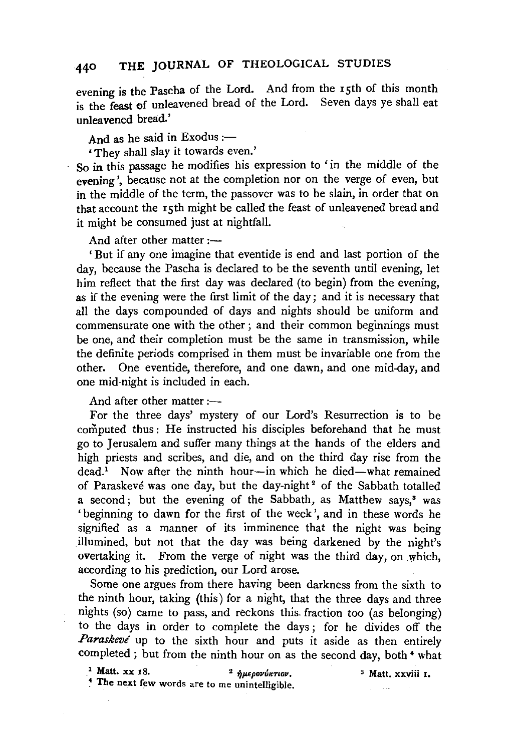# 440 THE JOURNAL OF THEOLOGICAL STUDIES

evening is the Pascha of the Lord. And from the 15th of this month is the feast of unleavened bread of the Lord. Seven days ve shall eat unleavened bread.'

And as he said in Exodus : $-$ 

• They shall slay it towards even.'

So in this passage he modifies his expression to 'in the middle of the evening', because not at the completion nor on the verge of even, but in the middle of the term, the passover was to be slain, in order that on that account the 15th might be called the feast of unleavened bread and it might be consumed just at nightfall.

And after other matter  $:$ ---

'But if any one imagine that eventide is end and last portion of the day, because the Pascha is declared to be the seventh until evening, let him reflect that the first day was declared (to begin) from the evening, as if the evening were the first limit of the day; and it is necessary that all the days compounded of days and nights should be uniform and commensurate one with the other ; and their common beginnings must be one, and their completion must be the same in transmission, while the definite periods comprised in them must be invariable one from the other. One eventide, therefore, and one dawn, and one mid-day, and one mid-night is included in each.

And after other matter  $:=$ 

For the three days' mystery of our Lord's Resurrection is to be computed thus: He instructed his disciples beforehand that he must go to Jerusalem and suffer many things at the hands of the elders and high priests and scribes, and die, and on the third day rise from the  $dead<sup>1</sup>$  Now after the ninth hour-in which he died-what remained of Paraskevé was one day, but the day-night<sup>2</sup> of the Sabbath totalled a second; but the evening of the Sabbath, as Matthew says,<sup>3</sup> was 'beginning to dawn for the first of the week', and in these words he signified as a manner of its imminence that the night was being illumined, but not that the day was being darkened by the night's overtaking it. From the verge of night was the third day, on which, according to his prediction, our Lord arose.

Some one argues from there having been darkness from the sixth to the ninth hour, taking (this) for a night, that the three days and three nights (so) came to pass, and reckons this. fraction too (as belonging) to the days in order to complete the days; for he divides off the Paraskeve up to the sixth hour and puts it aside as then entirely completed ; but from the ninth hour on as the second day, both<sup>4</sup> what

3 Matt. xxviii I.

<sup>1</sup> Matt. xx 18. <sup>2</sup>  $\eta \mu \epsilon \rho \sigma \nu \nu \kappa \tau \iota \sigma \nu$ . <sup>4</sup> The next few words are to me unintelligible.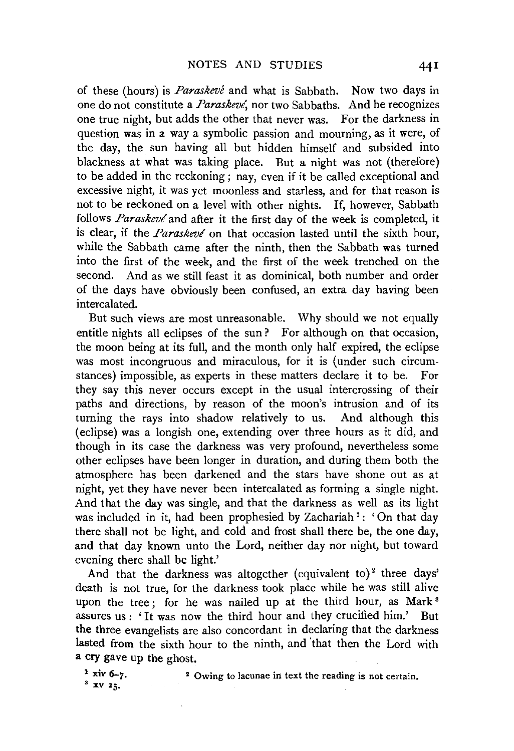of these (hours) is *Paraskeve* and what is Sabbath. Now two days in one do not constitute a *Paraskevl,* nor two Sabbaths. And he recognizes one true night, but adds the other that never was. For the darkness in question was in a way a symbolic passion and mourning, as it were, of the day, the sun having all but hidden himself and subsided into blackness at what was taking place. But a night was not (therefore) to be added in the reckoning; nay, even if it be called exceptional and excessive night, it was yet moonless and starless, and for that reason is not to be reckoned on a level with other nights. If, however, Sabbath follows *Paraskevé* and after it the first day of the week is completed, it is clear, if the *Paraskeve'* on that occasion lasted until the sixth hour, while the Sabbath came after the ninth, then the Sabbath was turned into the first of the week, and the first of the week trenched on the second. And as we still feast it as dominical, both number and order of the days have obviously been confused, an extra day having been intercalated.

But such views are most unreasonable. Why should we not equally entitle nights all eclipses of the sun? For although on that occasion, the moon being at its full, and the month only half expired, the eclipse was most incongruous and miraculous, for it is (under such circumstances) impossible, as experts in these matters declare it to be. For they say this never occurs except in the usual intercrossing of their paths and directions, by reason of the moon's intrusion and of its turning the rays into shadow relatively to us. And although this (eclipse) was a longish one, extending over three hours as it did, and though in its case the darkness was very profound, nevertheless some other eclipses have been longer in duration, and during them both the atmosphere has been darkened and the stars have shone out as at night, yet they have never been intercalated as forming a single night. And that the day was single, and that the darkness as well as its light was included in it, had been prophesied by Zachariah<sup>1</sup>: 'On that day there shall not be light, and cold and frost shall there be, the one day, and that day known unto the Lord, neither day nor night, but toward evening there shall be light.'

And that the darkness was altogether (equivalent to)<sup>2</sup> three days' death is not true, for the darkness took place while he was still alive upon the tree; for he was nailed up at the third hour, as Mark<sup>3</sup> assures us: 'It was now the third hour and they crucified him.' But the three evangelists are also concordant in declaring that the darkness lasted from the sixth hour to the ninth, and 'that then the Lord with a cry gave up the ghost.

<sup>1</sup> xiv 6-7.<br><sup>3</sup> XV 25. 2 Owing to lacunae in text the reading is not certain.